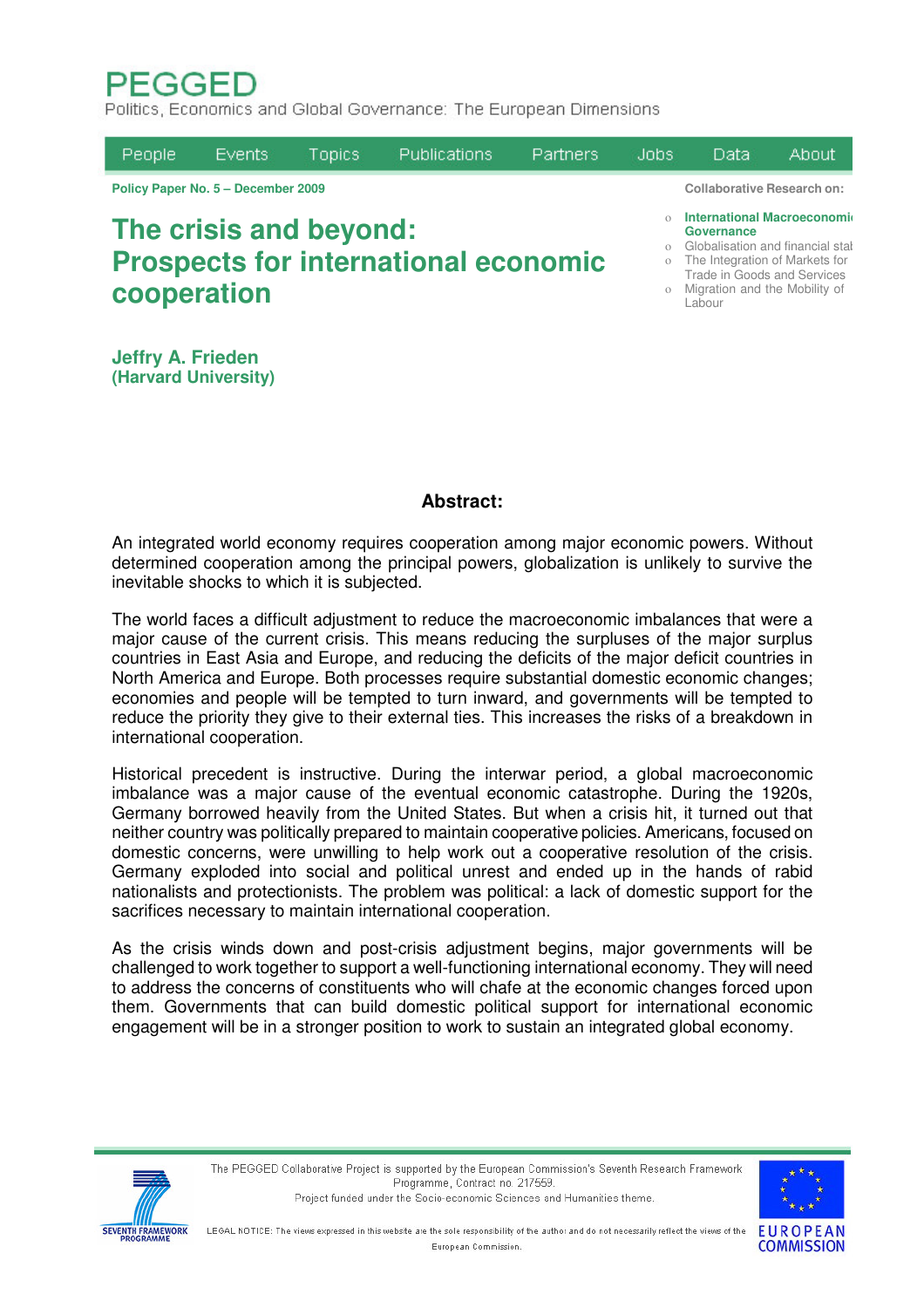# **PEGGED**

Politics, Economics and Global Governance: The European Dimensions

| People                                                                               | Events | <b>Topics</b> | <b>Publications</b> | <b>Partners</b> | Jobs: | Data                                                                                                                                                                                                   | About. |  |
|--------------------------------------------------------------------------------------|--------|---------------|---------------------|-----------------|-------|--------------------------------------------------------------------------------------------------------------------------------------------------------------------------------------------------------|--------|--|
| Policy Paper No. 5 - December 2009                                                   |        |               |                     |                 |       | <b>Collaborative Research on:</b>                                                                                                                                                                      |        |  |
| The crisis and beyond:<br><b>Prospects for international economic</b><br>cooperation |        |               |                     |                 |       | <b>International Macroeconomid</b><br>Governance<br>o Globalisation and financial stal<br>o The Integration of Markets for<br>Trade in Goods and Services<br>o Migration and the Mobility of<br>Labour |        |  |

**Jeffry A. Frieden (Harvard University)**

# **Abstract:**

An integrated world economy requires cooperation among major economic powers. Without determined cooperation among the principal powers, globalization is unlikely to survive the inevitable shocks to which it is subjected.

The world faces a difficult adjustment to reduce the macroeconomic imbalances that were a major cause of the current crisis. This means reducing the surpluses of the major surplus countries in East Asia and Europe, and reducing the deficits of the major deficit countries in North America and Europe. Both processes require substantial domestic economic changes; economies and people will be tempted to turn inward, and governments will be tempted to reduce the priority they give to their external ties. This increases the risks of a breakdown in international cooperation.

Historical precedent is instructive. During the interwar period, a global macroeconomic imbalance was a major cause of the eventual economic catastrophe. During the 1920s, Germany borrowed heavily from the United States. But when a crisis hit, it turned out that neither country was politically prepared to maintain cooperative policies. Americans, focused on domestic concerns, were unwilling to help work out a cooperative resolution of the crisis. Germany exploded into social and political unrest and ended up in the hands of rabid nationalists and protectionists. The problem was political: a lack of domestic support for the sacrifices necessary to maintain international cooperation.

As the crisis winds down and post-crisis adjustment begins, major governments will be challenged to work together to support a well-functioning international economy. They will need to address the concerns of constituents who will chafe at the economic changes forced upon them. Governments that can build domestic political support for international economic engagement will be in a stronger position to work to sustain an integrated global economy.





LEGAL NOTICE: The views expressed in this website are the sole responsibility of the author and do not necessarily reflect the views of the European Commission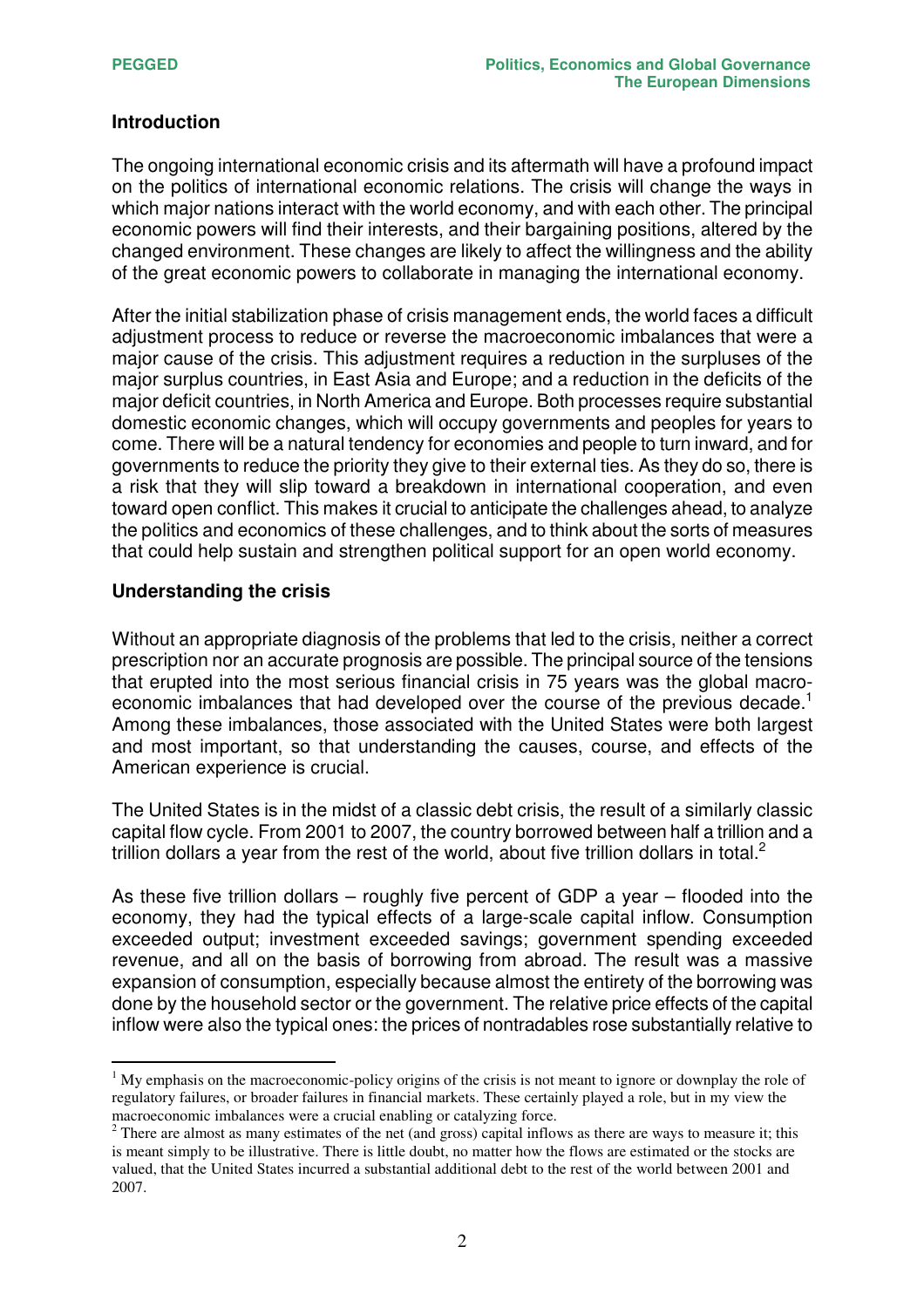## **Introduction**

The ongoing international economic crisis and its aftermath will have a profound impact on the politics of international economic relations. The crisis will change the ways in which major nations interact with the world economy, and with each other. The principal economic powers will find their interests, and their bargaining positions, altered by the changed environment. These changes are likely to affect the willingness and the ability of the great economic powers to collaborate in managing the international economy.

After the initial stabilization phase of crisis management ends, the world faces a difficult adjustment process to reduce or reverse the macroeconomic imbalances that were a major cause of the crisis. This adjustment requires a reduction in the surpluses of the major surplus countries, in East Asia and Europe; and a reduction in the deficits of the major deficit countries, in North America and Europe. Both processes require substantial domestic economic changes, which will occupy governments and peoples for years to come. There will be a natural tendency for economies and people to turn inward, and for governments to reduce the priority they give to their external ties. As they do so, there is a risk that they will slip toward a breakdown in international cooperation, and even toward open conflict. This makes it crucial to anticipate the challenges ahead, to analyze the politics and economics of these challenges, and to think about the sorts of measures that could help sustain and strengthen political support for an open world economy.

## **Understanding the crisis**

Without an appropriate diagnosis of the problems that led to the crisis, neither a correct prescription nor an accurate prognosis are possible. The principal source of the tensions that erupted into the most serious financial crisis in 75 years was the global macroeconomic imbalances that had developed over the course of the previous decade.<sup>1</sup> Among these imbalances, those associated with the United States were both largest and most important, so that understanding the causes, course, and effects of the American experience is crucial.

The United States is in the midst of a classic debt crisis, the result of a similarly classic capital flow cycle. From 2001 to 2007, the country borrowed between half a trillion and a trillion dollars a year from the rest of the world, about five trillion dollars in total.<sup>2</sup>

As these five trillion dollars – roughly five percent of GDP a year – flooded into the economy, they had the typical effects of a large-scale capital inflow. Consumption exceeded output; investment exceeded savings; government spending exceeded revenue, and all on the basis of borrowing from abroad. The result was a massive expansion of consumption, especially because almost the entirety of the borrowing was done by the household sector or the government. The relative price effects of the capital inflow were also the typical ones: the prices of nontradables rose substantially relative to

 $<sup>1</sup>$  My emphasis on the macroeconomic-policy origins of the crisis is not meant to ignore or downplay the role of</sup> regulatory failures, or broader failures in financial markets. These certainly played a role, but in my view the macroeconomic imbalances were a crucial enabling or catalyzing force.

 $2$  There are almost as many estimates of the net (and gross) capital inflows as there are ways to measure it; this is meant simply to be illustrative. There is little doubt, no matter how the flows are estimated or the stocks are valued, that the United States incurred a substantial additional debt to the rest of the world between 2001 and 2007.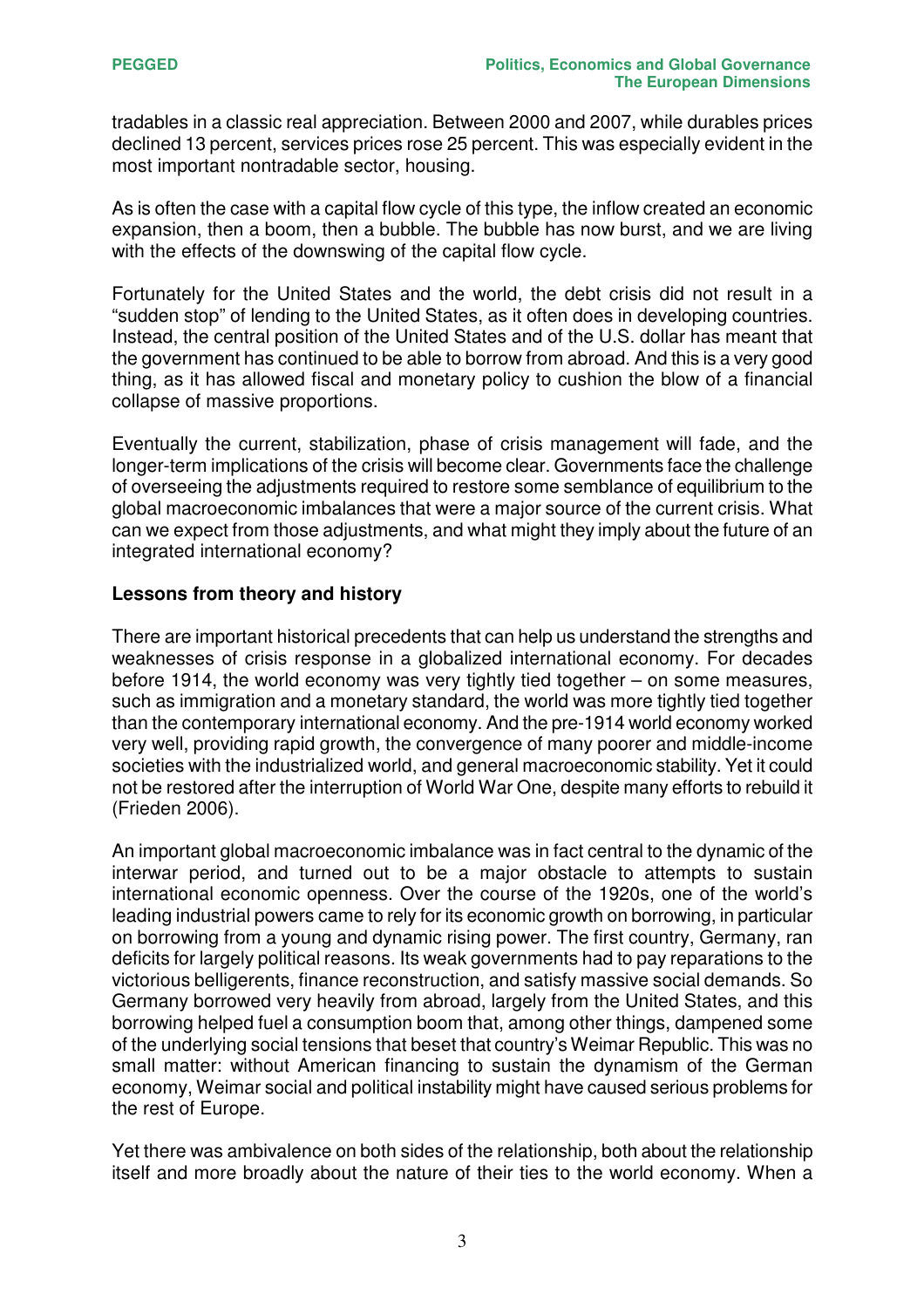tradables in a classic real appreciation. Between 2000 and 2007, while durables prices declined 13 percent, services prices rose 25 percent. This was especially evident in the most important nontradable sector, housing.

As is often the case with a capital flow cycle of this type, the inflow created an economic expansion, then a boom, then a bubble. The bubble has now burst, and we are living with the effects of the downswing of the capital flow cycle.

Fortunately for the United States and the world, the debt crisis did not result in a "sudden stop" of lending to the United States, as it often does in developing countries. Instead, the central position of the United States and of the U.S. dollar has meant that the government has continued to be able to borrow from abroad. And this is a very good thing, as it has allowed fiscal and monetary policy to cushion the blow of a financial collapse of massive proportions.

Eventually the current, stabilization, phase of crisis management will fade, and the longer-term implications of the crisis will become clear. Governments face the challenge of overseeing the adjustments required to restore some semblance of equilibrium to the global macroeconomic imbalances that were a major source of the current crisis. What can we expect from those adjustments, and what might they imply about the future of an integrated international economy?

# **Lessons from theory and history**

There are important historical precedents that can help us understand the strengths and weaknesses of crisis response in a globalized international economy. For decades before 1914, the world economy was very tightly tied together – on some measures, such as immigration and a monetary standard, the world was more tightly tied together than the contemporary international economy. And the pre-1914 world economy worked very well, providing rapid growth, the convergence of many poorer and middle-income societies with the industrialized world, and general macroeconomic stability. Yet it could not be restored after the interruption of World War One, despite many efforts to rebuild it (Frieden 2006).

An important global macroeconomic imbalance was in fact central to the dynamic of the interwar period, and turned out to be a major obstacle to attempts to sustain international economic openness. Over the course of the 1920s, one of the world's leading industrial powers came to rely for its economic growth on borrowing, in particular on borrowing from a young and dynamic rising power. The first country, Germany, ran deficits for largely political reasons. Its weak governments had to pay reparations to the victorious belligerents, finance reconstruction, and satisfy massive social demands. So Germany borrowed very heavily from abroad, largely from the United States, and this borrowing helped fuel a consumption boom that, among other things, dampened some of the underlying social tensions that beset that country's Weimar Republic. This was no small matter: without American financing to sustain the dynamism of the German economy, Weimar social and political instability might have caused serious problems for the rest of Europe.

Yet there was ambivalence on both sides of the relationship, both about the relationship itself and more broadly about the nature of their ties to the world economy. When a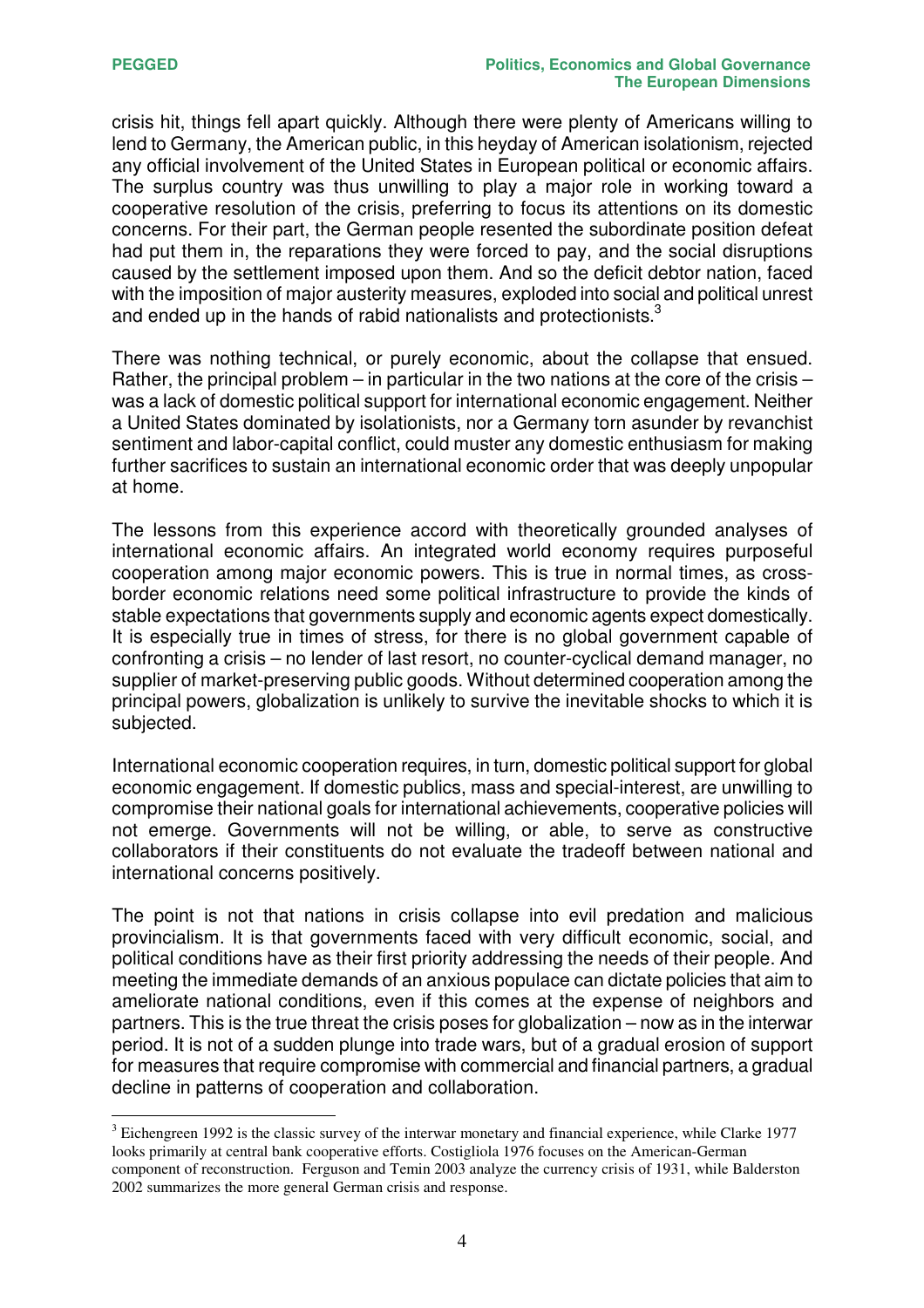crisis hit, things fell apart quickly. Although there were plenty of Americans willing to lend to Germany, the American public, in this heyday of American isolationism, rejected any official involvement of the United States in European political or economic affairs. The surplus country was thus unwilling to play a major role in working toward a cooperative resolution of the crisis, preferring to focus its attentions on its domestic concerns. For their part, the German people resented the subordinate position defeat had put them in, the reparations they were forced to pay, and the social disruptions caused by the settlement imposed upon them. And so the deficit debtor nation, faced with the imposition of major austerity measures, exploded into social and political unrest and ended up in the hands of rabid nationalists and protectionists. $^3$ 

There was nothing technical, or purely economic, about the collapse that ensued. Rather, the principal problem – in particular in the two nations at the core of the crisis – was a lack of domestic political support for international economic engagement. Neither a United States dominated by isolationists, nor a Germany torn asunder by revanchist sentiment and labor-capital conflict, could muster any domestic enthusiasm for making further sacrifices to sustain an international economic order that was deeply unpopular at home.

The lessons from this experience accord with theoretically grounded analyses of international economic affairs. An integrated world economy requires purposeful cooperation among major economic powers. This is true in normal times, as crossborder economic relations need some political infrastructure to provide the kinds of stable expectations that governments supply and economic agents expect domestically. It is especially true in times of stress, for there is no global government capable of confronting a crisis – no lender of last resort, no counter-cyclical demand manager, no supplier of market-preserving public goods. Without determined cooperation among the principal powers, globalization is unlikely to survive the inevitable shocks to which it is subjected.

International economic cooperation requires, in turn, domestic political support for global economic engagement. If domestic publics, mass and special-interest, are unwilling to compromise their national goals for international achievements, cooperative policies will not emerge. Governments will not be willing, or able, to serve as constructive collaborators if their constituents do not evaluate the tradeoff between national and international concerns positively.

The point is not that nations in crisis collapse into evil predation and malicious provincialism. It is that governments faced with very difficult economic, social, and political conditions have as their first priority addressing the needs of their people. And meeting the immediate demands of an anxious populace can dictate policies that aim to ameliorate national conditions, even if this comes at the expense of neighbors and partners. This is the true threat the crisis poses for globalization – now as in the interwar period. It is not of a sudden plunge into trade wars, but of a gradual erosion of support for measures that require compromise with commercial and financial partners, a gradual decline in patterns of cooperation and collaboration.

<sup>&</sup>lt;sup>3</sup> Eichengreen 1992 is the classic survey of the interwar monetary and financial experience, while Clarke 1977 looks primarily at central bank cooperative efforts. Costigliola 1976 focuses on the American-German component of reconstruction. Ferguson and Temin 2003 analyze the currency crisis of 1931, while Balderston 2002 summarizes the more general German crisis and response.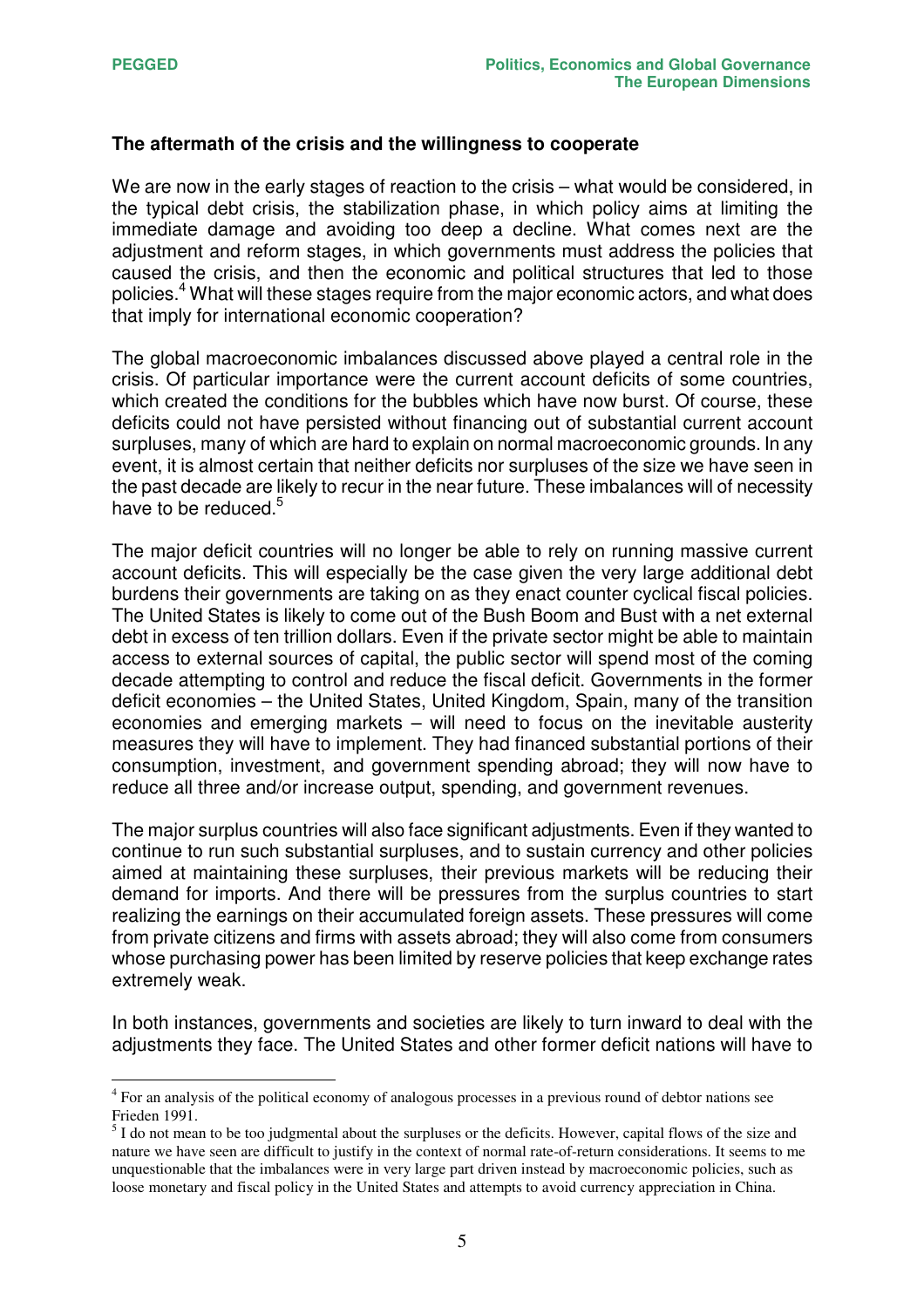#### **The aftermath of the crisis and the willingness to cooperate**

We are now in the early stages of reaction to the crisis – what would be considered, in the typical debt crisis, the stabilization phase, in which policy aims at limiting the immediate damage and avoiding too deep a decline. What comes next are the adjustment and reform stages, in which governments must address the policies that caused the crisis, and then the economic and political structures that led to those policies.<sup>4</sup> What will these stages require from the major economic actors, and what does that imply for international economic cooperation?

The global macroeconomic imbalances discussed above played a central role in the crisis. Of particular importance were the current account deficits of some countries, which created the conditions for the bubbles which have now burst. Of course, these deficits could not have persisted without financing out of substantial current account surpluses, many of which are hard to explain on normal macroeconomic grounds. In any event, it is almost certain that neither deficits nor surpluses of the size we have seen in the past decade are likely to recur in the near future. These imbalances will of necessity have to be reduced.<sup>5</sup>

The major deficit countries will no longer be able to rely on running massive current account deficits. This will especially be the case given the very large additional debt burdens their governments are taking on as they enact counter cyclical fiscal policies. The United States is likely to come out of the Bush Boom and Bust with a net external debt in excess of ten trillion dollars. Even if the private sector might be able to maintain access to external sources of capital, the public sector will spend most of the coming decade attempting to control and reduce the fiscal deficit. Governments in the former deficit economies – the United States, United Kingdom, Spain, many of the transition economies and emerging markets – will need to focus on the inevitable austerity measures they will have to implement. They had financed substantial portions of their consumption, investment, and government spending abroad; they will now have to reduce all three and/or increase output, spending, and government revenues.

The major surplus countries will also face significant adjustments. Even if they wanted to continue to run such substantial surpluses, and to sustain currency and other policies aimed at maintaining these surpluses, their previous markets will be reducing their demand for imports. And there will be pressures from the surplus countries to start realizing the earnings on their accumulated foreign assets. These pressures will come from private citizens and firms with assets abroad; they will also come from consumers whose purchasing power has been limited by reserve policies that keep exchange rates extremely weak.

In both instances, governments and societies are likely to turn inward to deal with the adjustments they face. The United States and other former deficit nations will have to

<sup>&</sup>lt;sup>4</sup> For an analysis of the political economy of analogous processes in a previous round of debtor nations see Frieden 1991.

 $<sup>5</sup>$  I do not mean to be too judgmental about the surpluses or the deficits. However, capital flows of the size and</sup> nature we have seen are difficult to justify in the context of normal rate-of-return considerations. It seems to me unquestionable that the imbalances were in very large part driven instead by macroeconomic policies, such as loose monetary and fiscal policy in the United States and attempts to avoid currency appreciation in China.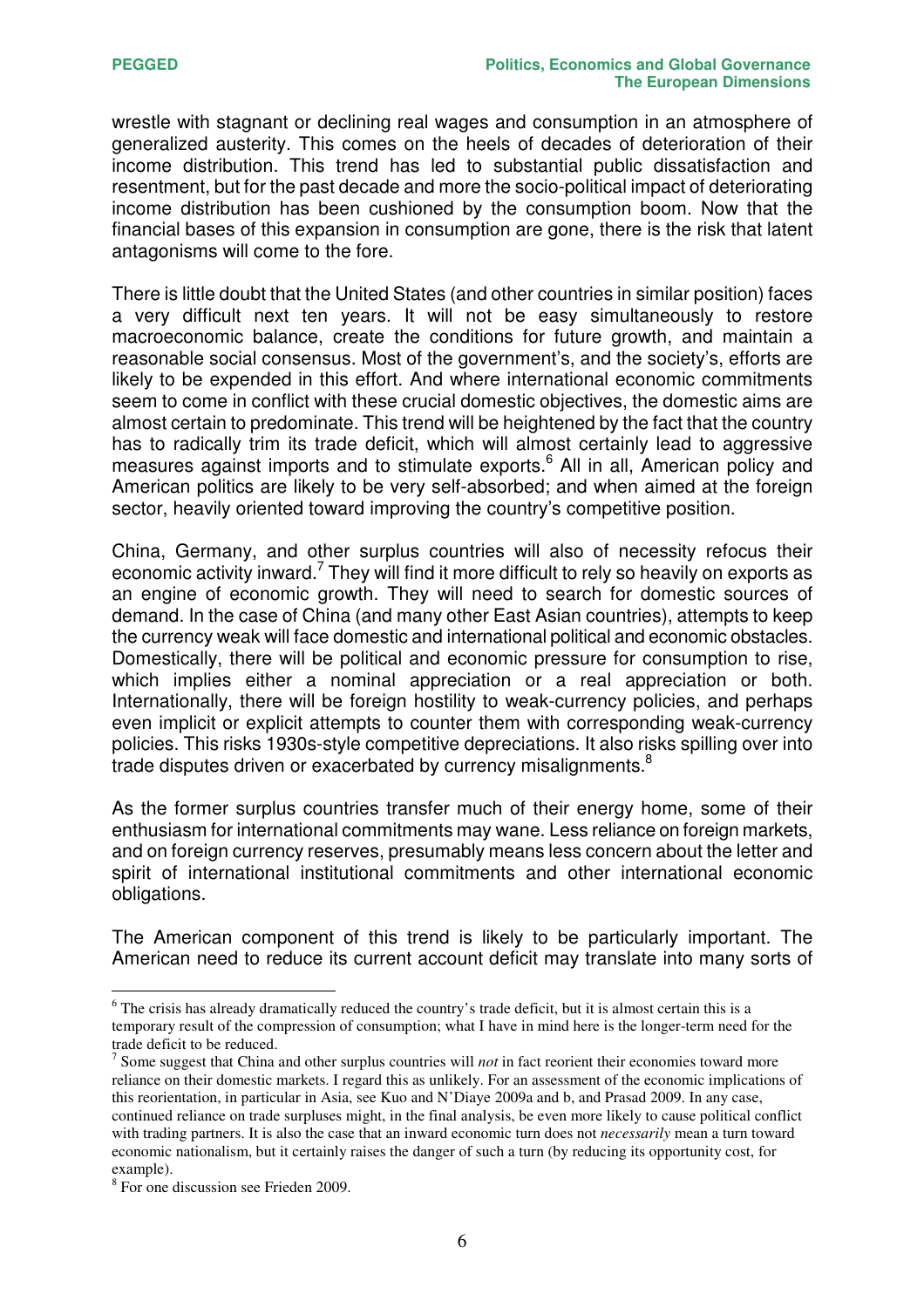wrestle with stagnant or declining real wages and consumption in an atmosphere of generalized austerity. This comes on the heels of decades of deterioration of their income distribution. This trend has led to substantial public dissatisfaction and resentment, but for the past decade and more the socio-political impact of deteriorating income distribution has been cushioned by the consumption boom. Now that the financial bases of this expansion in consumption are gone, there is the risk that latent antagonisms will come to the fore.

There is little doubt that the United States (and other countries in similar position) faces a very difficult next ten years. It will not be easy simultaneously to restore macroeconomic balance, create the conditions for future growth, and maintain a reasonable social consensus. Most of the government's, and the society's, efforts are likely to be expended in this effort. And where international economic commitments seem to come in conflict with these crucial domestic objectives, the domestic aims are almost certain to predominate. This trend will be heightened by the fact that the country has to radically trim its trade deficit, which will almost certainly lead to aggressive measures against imports and to stimulate exports. <sup>6</sup> All in all, American policy and American politics are likely to be very self-absorbed; and when aimed at the foreign sector, heavily oriented toward improving the country's competitive position.

China, Germany, and other surplus countries will also of necessity refocus their economic activity inward.<sup>7</sup> They will find it more difficult to rely so heavily on exports as an engine of economic growth. They will need to search for domestic sources of demand. In the case of China (and many other East Asian countries), attempts to keep the currency weak will face domestic and international political and economic obstacles. Domestically, there will be political and economic pressure for consumption to rise, which implies either a nominal appreciation or a real appreciation or both. Internationally, there will be foreign hostility to weak-currency policies, and perhaps even implicit or explicit attempts to counter them with corresponding weak-currency policies. This risks 1930s-style competitive depreciations. It also risks spilling over into trade disputes driven or exacerbated by currency misalignments. $^8$ 

As the former surplus countries transfer much of their energy home, some of their enthusiasm for international commitments may wane. Less reliance on foreign markets, and on foreign currency reserves, presumably means less concern about the letter and spirit of international institutional commitments and other international economic obligations.

The American component of this trend is likely to be particularly important. The American need to reduce its current account deficit may translate into many sorts of

<sup>&</sup>lt;sup>6</sup> The crisis has already dramatically reduced the country's trade deficit, but it is almost certain this is a temporary result of the compression of consumption; what I have in mind here is the longer-term need for the trade deficit to be reduced.

<sup>7</sup> Some suggest that China and other surplus countries will *not* in fact reorient their economies toward more reliance on their domestic markets. I regard this as unlikely. For an assessment of the economic implications of this reorientation, in particular in Asia, see Kuo and N'Diaye 2009a and b, and Prasad 2009. In any case, continued reliance on trade surpluses might, in the final analysis, be even more likely to cause political conflict with trading partners. It is also the case that an inward economic turn does not *necessarily* mean a turn toward economic nationalism, but it certainly raises the danger of such a turn (by reducing its opportunity cost, for example).

<sup>8</sup> For one discussion see Frieden 2009.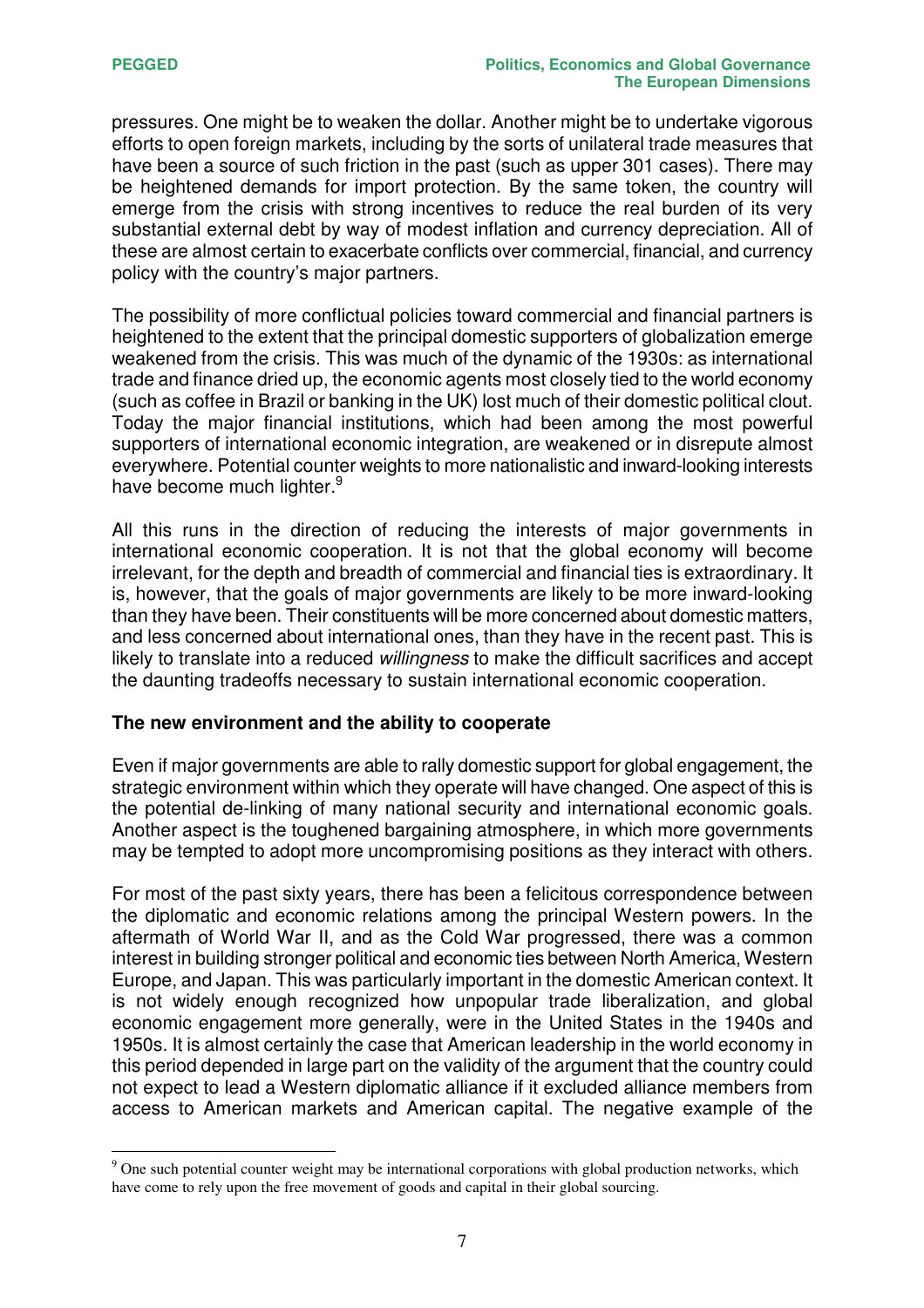pressures. One might be to weaken the dollar. Another might be to undertake vigorous efforts to open foreign markets, including by the sorts of unilateral trade measures that have been a source of such friction in the past (such as upper 301 cases). There may be heightened demands for import protection. By the same token, the country will emerge from the crisis with strong incentives to reduce the real burden of its very substantial external debt by way of modest inflation and currency depreciation. All of these are almost certain to exacerbate conflicts over commercial, financial, and currency policy with the country's major partners.

The possibility of more conflictual policies toward commercial and financial partners is heightened to the extent that the principal domestic supporters of globalization emerge weakened from the crisis. This was much of the dynamic of the 1930s: as international trade and finance dried up, the economic agents most closely tied to the world economy (such as coffee in Brazil or banking in the UK) lost much of their domestic political clout. Today the major financial institutions, which had been among the most powerful supporters of international economic integration, are weakened or in disrepute almost everywhere. Potential counter weights to more nationalistic and inward-looking interests have become much lighter.<sup>9</sup>

All this runs in the direction of reducing the interests of major governments in international economic cooperation. It is not that the global economy will become irrelevant, for the depth and breadth of commercial and financial ties is extraordinary. It is, however, that the goals of major governments are likely to be more inward-looking than they have been. Their constituents will be more concerned about domestic matters, and less concerned about international ones, than they have in the recent past. This is likely to translate into a reduced *willingness* to make the difficult sacrifices and accept the daunting tradeoffs necessary to sustain international economic cooperation.

#### **The new environment and the ability to cooperate**

Even if major governments are able to rally domestic support for global engagement, the strategic environment within which they operate will have changed. One aspect of this is the potential de-linking of many national security and international economic goals. Another aspect is the toughened bargaining atmosphere, in which more governments may be tempted to adopt more uncompromising positions as they interact with others.

For most of the past sixty years, there has been a felicitous correspondence between the diplomatic and economic relations among the principal Western powers. In the aftermath of World War II, and as the Cold War progressed, there was a common interest in building stronger political and economic ties between North America, Western Europe, and Japan. This was particularly important in the domestic American context. It is not widely enough recognized how unpopular trade liberalization, and global economic engagement more generally, were in the United States in the 1940s and 1950s. It is almost certainly the case that American leadership in the world economy in this period depended in large part on the validity of the argument that the country could not expect to lead a Western diplomatic alliance if it excluded alliance members from access to American markets and American capital. The negative example of the

<sup>&</sup>lt;sup>9</sup> One such potential counter weight may be international corporations with global production networks, which have come to rely upon the free movement of goods and capital in their global sourcing.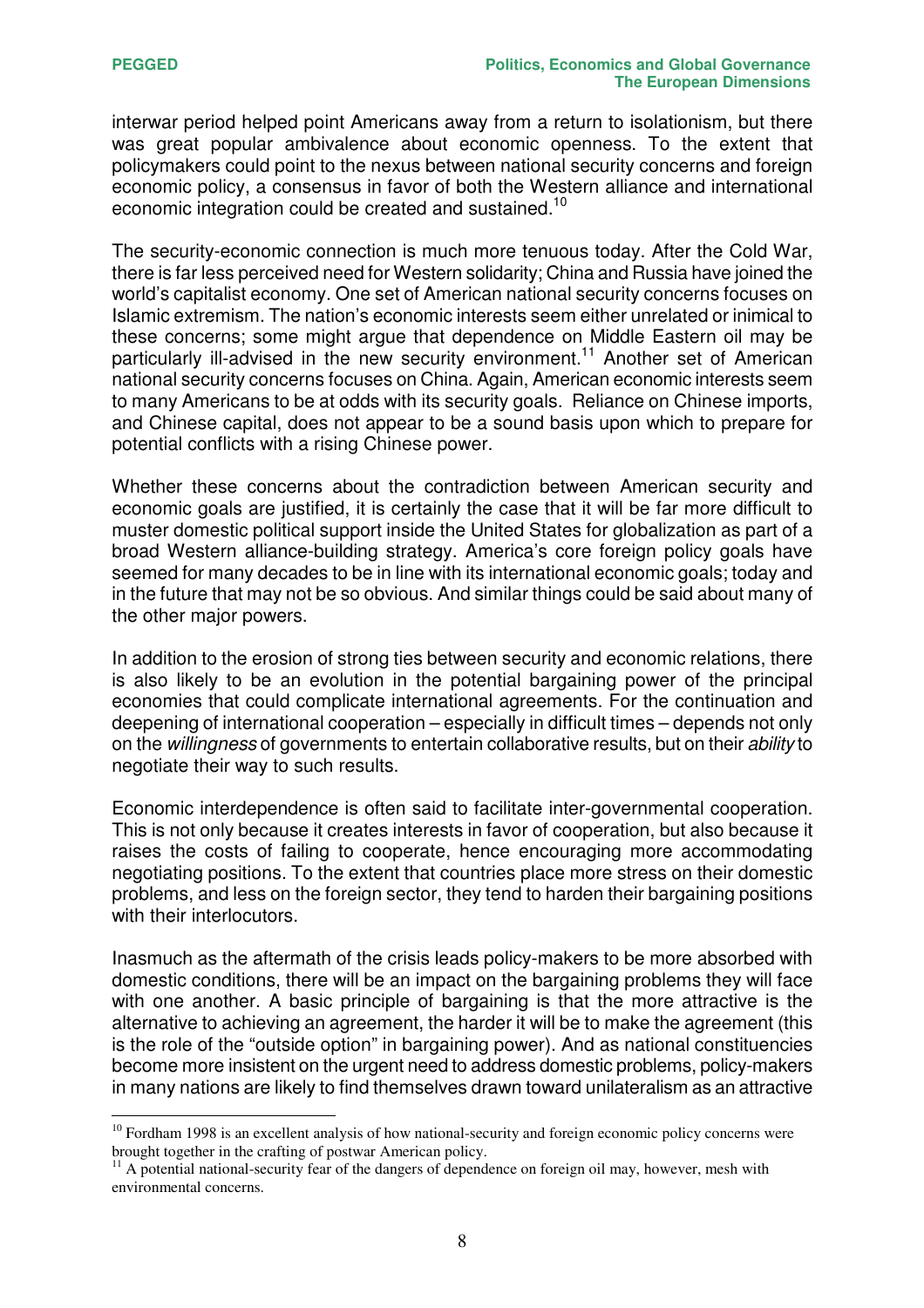interwar period helped point Americans away from a return to isolationism, but there was great popular ambivalence about economic openness. To the extent that policymakers could point to the nexus between national security concerns and foreign economic policy, a consensus in favor of both the Western alliance and international economic integration could be created and sustained.<sup>10</sup>

The security-economic connection is much more tenuous today. After the Cold War, there is far less perceived need for Western solidarity; China and Russia have joined the world's capitalist economy. One set of American national security concerns focuses on Islamic extremism. The nation's economic interests seem either unrelated or inimical to these concerns; some might argue that dependence on Middle Eastern oil may be particularly ill-advised in the new security environment. <sup>11</sup> Another set of American national security concerns focuses on China. Again, American economic interests seem to many Americans to be at odds with its security goals. Reliance on Chinese imports, and Chinese capital, does not appear to be a sound basis upon which to prepare for potential conflicts with a rising Chinese power.

Whether these concerns about the contradiction between American security and economic goals are justified, it is certainly the case that it will be far more difficult to muster domestic political support inside the United States for globalization as part of a broad Western alliance-building strategy. America's core foreign policy goals have seemed for many decades to be in line with its international economic goals; today and in the future that may not be so obvious. And similar things could be said about many of the other major powers.

In addition to the erosion of strong ties between security and economic relations, there is also likely to be an evolution in the potential bargaining power of the principal economies that could complicate international agreements. For the continuation and deepening of international cooperation – especially in difficult times – depends not only on the *willingness* of governments to entertain collaborative results, but on their *ability* to negotiate their way to such results.

Economic interdependence is often said to facilitate inter-governmental cooperation. This is not only because it creates interests in favor of cooperation, but also because it raises the costs of failing to cooperate, hence encouraging more accommodating negotiating positions. To the extent that countries place more stress on their domestic problems, and less on the foreign sector, they tend to harden their bargaining positions with their interlocutors.

Inasmuch as the aftermath of the crisis leads policy-makers to be more absorbed with domestic conditions, there will be an impact on the bargaining problems they will face with one another. A basic principle of bargaining is that the more attractive is the alternative to achieving an agreement, the harder it will be to make the agreement (this is the role of the "outside option" in bargaining power). And as national constituencies become more insistent on the urgent need to address domestic problems, policy-makers in many nations are likely to find themselves drawn toward unilateralism as an attractive

<sup>&</sup>lt;sup>10</sup> Fordham 1998 is an excellent analysis of how national-security and foreign economic policy concerns were brought together in the crafting of postwar American policy.

 $11$  A potential national-security fear of the dangers of dependence on foreign oil may, however, mesh with environmental concerns.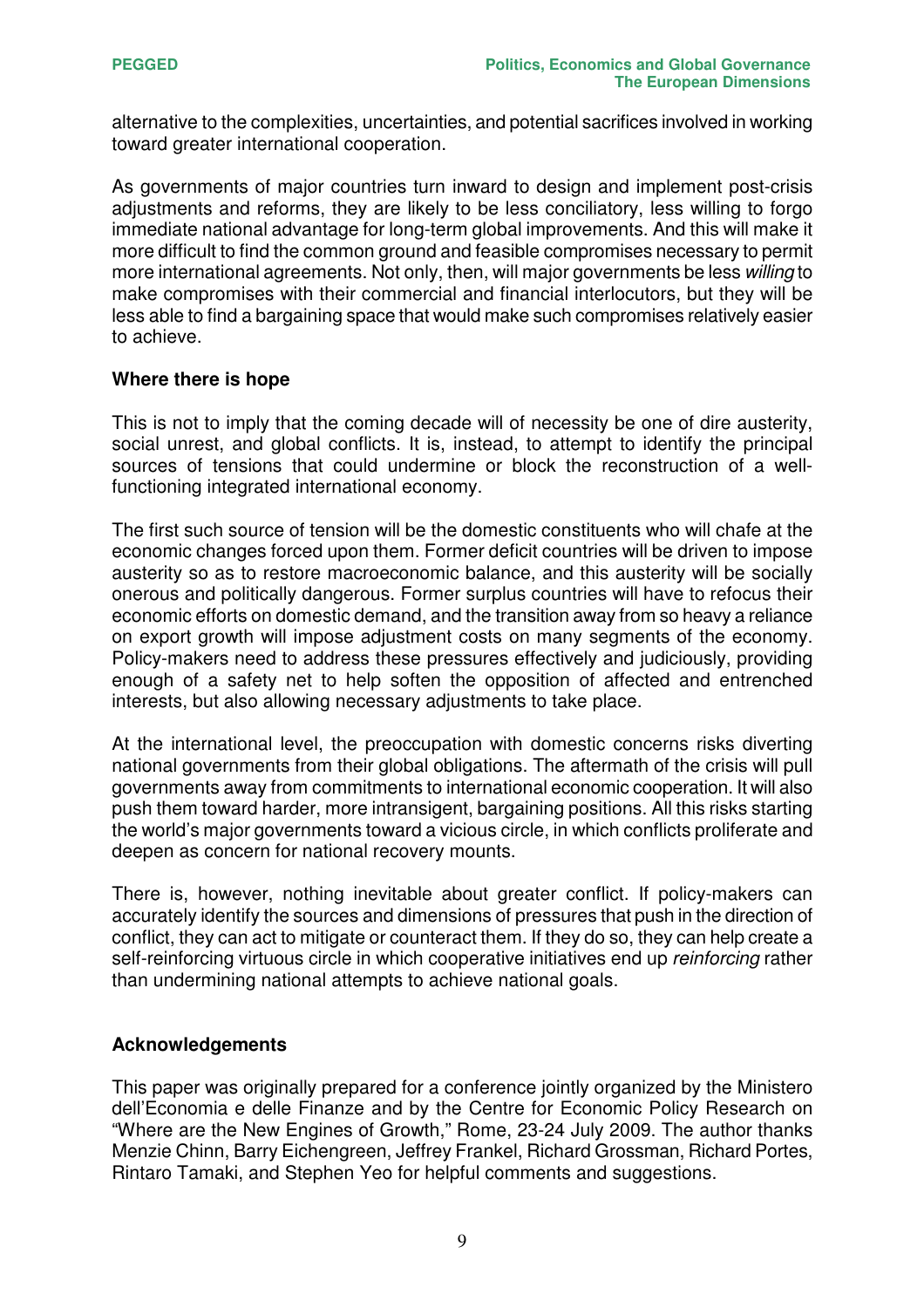alternative to the complexities, uncertainties, and potential sacrifices involved in working toward greater international cooperation.

As governments of major countries turn inward to design and implement post-crisis adjustments and reforms, they are likely to be less conciliatory, less willing to forgo immediate national advantage for long-term global improvements. And this will make it more difficult to find the common ground and feasible compromises necessary to permit more international agreements. Not only, then, will major governments be less *willing* to make compromises with their commercial and financial interlocutors, but they will be less able to find a bargaining space that would make such compromises relatively easier to achieve.

#### **Where there is hope**

This is not to imply that the coming decade will of necessity be one of dire austerity, social unrest, and global conflicts. It is, instead, to attempt to identify the principal sources of tensions that could undermine or block the reconstruction of a wellfunctioning integrated international economy.

The first such source of tension will be the domestic constituents who will chafe at the economic changes forced upon them. Former deficit countries will be driven to impose austerity so as to restore macroeconomic balance, and this austerity will be socially onerous and politically dangerous. Former surplus countries will have to refocus their economic efforts on domestic demand, and the transition away from so heavy a reliance on export growth will impose adjustment costs on many segments of the economy. Policy-makers need to address these pressures effectively and judiciously, providing enough of a safety net to help soften the opposition of affected and entrenched interests, but also allowing necessary adjustments to take place.

At the international level, the preoccupation with domestic concerns risks diverting national governments from their global obligations. The aftermath of the crisis will pull governments away from commitments to international economic cooperation. It will also push them toward harder, more intransigent, bargaining positions. All this risks starting the world's major governments toward a vicious circle, in which conflicts proliferate and deepen as concern for national recovery mounts.

There is, however, nothing inevitable about greater conflict. If policy-makers can accurately identify the sources and dimensions of pressures that push in the direction of conflict, they can act to mitigate or counteract them. If they do so, they can help create a self-reinforcing virtuous circle in which cooperative initiatives end up *reinforcing* rather than undermining national attempts to achieve national goals.

#### **Acknowledgements**

This paper was originally prepared for a conference jointly organized by the Ministero dell'Economia e delle Finanze and by the Centre for Economic Policy Research on "Where are the New Engines of Growth," Rome, 23-24 July 2009. The author thanks Menzie Chinn, Barry Eichengreen, Jeffrey Frankel, Richard Grossman, Richard Portes, Rintaro Tamaki, and Stephen Yeo for helpful comments and suggestions.